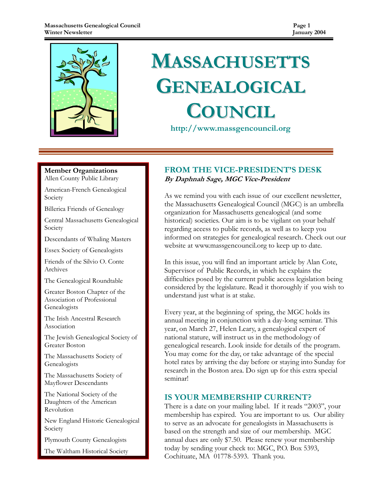

# **MASSACHUSETTS** GENEALOGICAL **COUNCIL**

http://www.massgencouncil.org

Member Organizations Allen County Public Library

American-French Genealogical Society

Billerica Friends of Genealogy

Central Massachusetts Genealogical Society

Descendants of Whaling Masters

Essex Society of Genealogists

Friends of the Silvio O. Conte Archives

The Genealogical Roundtable

Greater Boston Chapter of the Association of Professional Genealogists

The Irish Ancestral Research Association

The Jewish Genealogical Society of Greater Boston

The Massachusetts Society of Genealogists

The Massachusetts Society of Mayflower Descendants

The National Society of the Daughters of the American Revolution

New England Historic Genealogical Society

Plymouth County Genealogists

The Waltham Historical Society

#### FROM THE VICE-PRESIDENT'S DESK By Daphnah Sage, MGC Vice-President

As we remind you with each issue of our excellent newsletter, the Massachusetts Genealogical Council (MGC) is an umbrella organization for Massachusetts genealogical (and some historical) societies. Our aim is to be vigilant on your behalf regarding access to public records, as well as to keep you informed on strategies for genealogical research. Check out our website at www.massgencouncil.org to keep up to date.

In this issue, you will find an important article by Alan Cote, Supervisor of Public Records, in which he explains the difficulties posed by the current public access legislation being considered by the legislature. Read it thoroughly if you wish to understand just what is at stake.

Every year, at the beginning of spring, the MGC holds its annual meeting in conjunction with a day-long seminar. This year, on March 27, Helen Leary, a genealogical expert of national stature, will instruct us in the methodology of genealogical research. Look inside for details of the program. You may come for the day, or take advantage of the special hotel rates by arriving the day before or staying into Sunday for research in the Boston area. Do sign up for this extra special seminar!

#### IS YOUR MEMBERSHIP CURRENT?

There is a date on your mailing label. If it reads "2003", your membership has expired. You are important to us. Our ability to serve as an advocate for genealogists in Massachusetts is based on the strength and size of our membership. MGC annual dues are only \$7.50. Please renew your membership today by sending your check to: MGC, P.O. Box 5393, Cochituate, MA 01778-5393. Thank you.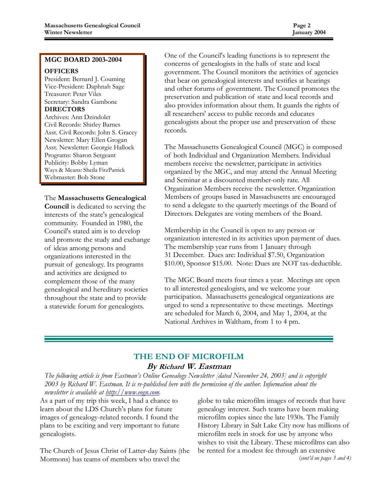#### MGC BOARD 2003-2004

#### **OFFICERS**

President: Bernard J. Couming Vice-President: Daphnah Sage Treasurer: Peter Viles Secretary: Sandra Gambone DIRECTORS

Archives: Ann Dzindolet Civil Records: Shirley Barnes Asst. Civil Records: John S. Gracey Newsletter: Mary Ellen Grogan Asst. Newsletter: Georgie Hallock Programs: Sharon Sergeant Publicity: Bobby Lyman Ways & Means: Sheila FitzPatrick Webmaster: Bob Stone

#### The Massachusetts Genealogical

Council is dedicated to serving the interests of the state's genealogical community. Founded in 1980, the Council's stated aim is to develop and promote the study and exchange of ideas among persons and organizations interested in the pursuit of genealogy. Its programs and activities are designed to complement those of the many genealogical and hereditary societies throughout the state and to provide a statewide forum for genealogists.

One of the Council's leading functions is to represent the concerns of genealogists in the halls of state and local government. The Council monitors the activities of agencies that bear on genealogical interests and testifies at hearings and other forums of government. The Council promotes the preservation and publication of state and local records and also provides information about them. It guards the rights of all researchers' access to public records and educates genealogists about the proper use and preservation of these records.

The Massachusetts Genealogical Council (MGC) is composed of both Individual and Organization Members. Individual members receive the newsletter, participate in activities organized by the MGC, and may attend the Annual Meeting and Seminar at a discounted member-only rate. All Organization Members receive the newsletter. Organization Members of groups based in Massachusetts are encouraged to send a delegate to the quarterly meetings of the Board of Directors. Delegates are voting members of the Board.

Membership in the Council is open to any person or organization interested in its activities upon payment of dues. The membership year runs from 1 January through 31 December. Dues are: Individual \$7.50, Organization \$10.00, Sponsor \$15.00. Note: Dues are NOT tax-deductible.

The MGC Board meets four times a year. Meetings are open to all interested genealogists, and we welcome your participation. Massachusetts genealogical organizations are urged to send a representative to these meetings. Meetings are scheduled for March 6, 2004, and May 1, 2004, at the National Archives in Waltham, from 1 to 4 pm.

#### THE END OF MICROFILM By Richard W. Eastman

The following article is from Eastman's Online Genealogy Newsletter [dated November 24, 2003] and is copyright 2003 by Richard W. Eastman. It is re-published here with the permission of the author. Information about the newsletter is available at http://www.eogn.com.

As a part of my trip this week, I had a chance to learn about the LDS Church's plans for future images of genealogy-related records. I found the plans to be exciting and very important to future genealogists.

The Church of Jesus Christ of Latter-day Saints (the Mormons) has teams of members who travel the

globe to take microfilm images of records that have genealogy interest. Such teams have been making microfilm copies since the late 1930s. The Family History Library in Salt Lake City now has millions of microfilm reels in stock for use by anyone who wishes to visit the Library. These microfilms can also be rented for a modest fee through an extensive (cont'd on pages 3 and 4)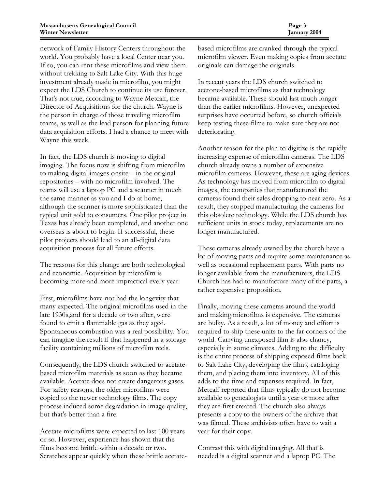network of Family History Centers throughout the world. You probably have a local Center near you. If so, you can rent these microfilms and view them without trekking to Salt Lake City. With this huge investment already made in microfilm, you might expect the LDS Church to continue its use forever. That's not true, according to Wayne Metcalf, the Director of Acquisitions for the church. Wayne is the person in charge of those traveling microfilm teams, as well as the lead person for planning future data acquisition efforts. I had a chance to meet with Wayne this week.

In fact, the LDS church is moving to digital imaging. The focus now is shifting from microfilm to making digital images onsite – in the original repositories – with no microfilm involved. The teams will use a laptop PC and a scanner in much the same manner as you and I do at home, although the scanner is more sophisticated than the typical unit sold to consumers. One pilot project in Texas has already been completed, and another one overseas is about to begin. If successsful, these pilot projects should lead to an all-digital data acquisition process for all future efforts.

The reasons for this change are both technological and economic. Acquisition by microfilm is becoming more and more impractical every year.

First, microfilms have not had the longevity that many expected. The original microfilms used in the late 1930s,and for a decade or two after, were found to emit a flammable gas as they aged. Spontaneous combustion was a real possibility. You can imagine the result if that happened in a storage facility containing millions of microfilm reels.

Consequently, the LDS church switched to acetatebased microfilm materials as soon as they became available. Acetate does not create dangerous gases. For safety reasons, the older microfilms were copied to the newer technology films. The copy process induced some degradation in image quality, but that's better than a fire.

Acetate microfilms were expected to last 100 years or so. However, experience has shown that the films become brittle within a decade or two. Scratches appear quickly when these brittle acetatebased microfilms are cranked through the typical microfilm viewer. Even making copies from acetate originals can damage the originals.

In recent years the LDS church switched to acetone-based microfilms as that technology became available. These should last much longer than the earlier microfilms. However, unexpected surprises have occurred before, so church officials keep testing these films to make sure they are not deteriorating.

Another reason for the plan to digitize is the rapidly increasing expense of microfilm cameras. The LDS church already owns a number of expensive microfilm cameras. However, these are aging devices. As technology has moved from microfilm to digital images, the companies that manufactured the cameras found their sales dropping to near zero. As a result, they stopped manufacturing the cameras for this obsolete technology. While the LDS church has sufficient units in stock today, replacements are no longer manufactured.

These cameras already owned by the church have a lot of moving parts and require some maintenance as well as occasional replacement parts. With parts no longer available from the manufacturers, the LDS Church has had to manufacture many of the parts, a rather expensive proposition.

Finally, moving these cameras around the world and making microfilms is expensive. The cameras are bulky. As a result, a lot of money and effort is required to ship these units to the far corners of the world. Carrying unexposed film is also chancy, especially in some climates. Adding to the difficulty is the entire process of shipping exposed films back to Salt Lake City, developing the films, cataloging them, and placing them into inventory. All of this adds to the time and expenses required. In fact, Metcalf reported that films typically do not become available to genealogists until a year or more after they are first created. The church also always presents a copy to the owners of the archive that was filmed. These archivists often have to wait a year for their copy.

Contrast this with digital imaging. All that is needed is a digital scanner and a laptop PC. The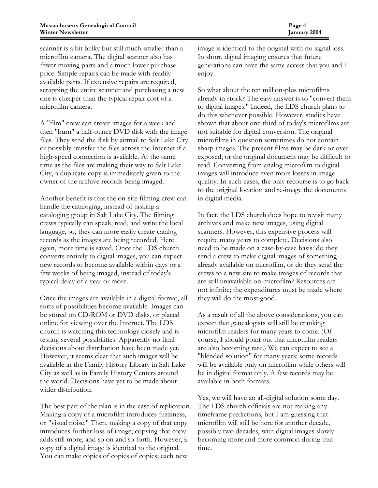scanner is a bit bulky but still much smaller than a microfilm camera. The digital scanner also has fewer moving parts and a much lower purchase price. Simple repairs can be made with readilyavailable parts. If extensive repairs are required, scrapping the entire scanner and purchasing a new one is cheaper than the typical repair cost of a microfilm camera.

A "film" crew can create images for a week and then "burn" a half-ounce DVD disk with the image files. They send the disk by airmail to Salt Lake City or possibly transfer the files across the Internet if a high-speed connection is available. At the same time as the files are making their way to Salt Lake City, a duplicate copy is immediately given to the owner of the archive records being imaged.

Another benefit is that the on-site filming crew can handle the cataloging, instead of tasking a cataloging group in Salt Lake City. The filming crews typically can speak, read, and write the local language, so, they can more easily create catalog records as the images are being recorded. Here again, more time is saved. Once the LDS church converts entirely to digital images, you can expect new records to become available within days or a few weeks of being imaged, instead of today's typical delay of a year or more.

Once the images are available in a digital format, all sorts of possibilities become available. Images can be stored on CD-ROM or DVD disks, or placed online for viewing over the Internet. The LDS church is watching this technology closely and is testing several possibilities. Apparently no final decisions about distribution have been made yet. However, it seems clear that such images will be available in the Family History Library in Salt Lake City as well as in Family History Centers around the world. Decisions have yet to be made about wider distribution.

The best part of the plan is in the ease of replication. Making a copy of a microfilm introduces fuzziness, or "visual noise." Then, making a copy of that copy introduces further loss of image; copying that copy adds still more, and so on and so forth. However, a copy of a digital image is identical to the original. You can make copies of copies of copies; each new

image is identical to the original with no signal loss. In short, digital imaging ensures that future generations can have the same access that you and I enjoy.

So what about the ten million-plus microfilms already in stock? The easy answer is to "convert them to digital images." Indeed, the LDS church plans to do this whenever possible. However, studies have shown that about one-third of today's microfilms are not suitable for digital conversion. The original microfilms in question sometimes do not contain sharp images. The present films may be dark or over exposed, or the original document may be difficult to read. Converting from analog microfilm to digital images will introduce even more losses in image quality. In such cases, the only recourse is to go back to the original location and re-image the documents in digital media.

In fact, the LDS church does hope to revisit many archives and make new images, using digital scanners. However, this expensive process will require many years to complete. Decisions also need to be made on a case-by-case basis: do they send a crew to make digital images of something already available on microfilm, or do they send the crews to a new site to make images of records that are still unavailable on microfilm? Resources are not infinite; the expenditures must be made where they will do the most good.

As a result of all the above considerations, you can expect that genealogists will still be cranking microfilm readers for many years to come. (Of course, I should point out that microfilm readers are also becoming rare.) We can expect to see a "blended solution" for many years: some records will be available only on microfilm while others will be in digital format only. A few records may be available in both formats.

Yes, we will have an all-digital solution some day. The LDS church officials are not making any timeframe predictions, but I am guessing that microfilm will still be here for another decade, possibly two decades, with digital images slowly becoming more and more common during that time.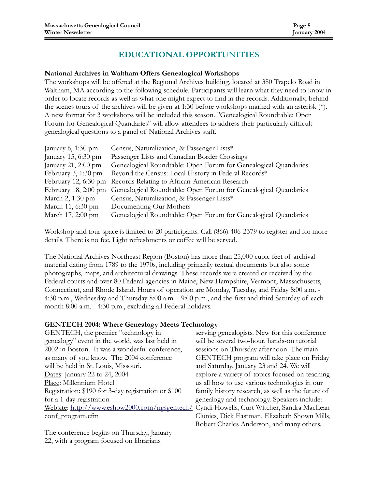#### EDUCATIONAL OPPORTUNITIES

#### National Archives in Waltham Offers Genealogical Workshops

The workshops will be offered at the Regional Archives building, located at 380 Trapelo Road in Waltham, MA according to the following schedule. Participants will learn what they need to know in order to locate records as well as what one might expect to find in the records. Additionally, behind the scenes tours of the archives will be given at 1:30 before workshops marked with an asterisk (\*). A new format for 3 workshops will be included this season. "Genealogical Roundtable: Open Forum for Genealogical Quandaries" will allow attendees to address their particularly difficult genealogical questions to a panel of National Archives staff.

| January $6, 1:30$ pm   | Census, Naturalization, & Passenger Lists*                      |
|------------------------|-----------------------------------------------------------------|
| January 15, 6:30 pm    | Passenger Lists and Canadian Border Crossings                   |
| January 21, 2:00 pm    | Genealogical Roundtable: Open Forum for Genealogical Quandaries |
| February 3, 1:30 pm    | Beyond the Census: Local History in Federal Records*            |
| February 12, $6:30$ pm | Records Relating to African-American Research                   |
| February 18, $2:00$ pm | Genealogical Roundtable: Open Forum for Genealogical Quandaries |
| March 2, 1:30 pm       | Census, Naturalization, & Passenger Lists*                      |
| March 11, 6:30 pm      | Documenting Our Mothers                                         |
| March 17, 2:00 pm      | Genealogical Roundtable: Open Forum for Genealogical Quandaries |

Workshop and tour space is limited to 20 participants. Call (866) 406-2379 to register and for more details. There is no fee. Light refreshments or coffee will be served.

The National Archives Northeast Region (Boston) has more than 25,000 cubic feet of archival material dating from 1789 to the 1970s, including primarily textual documents but also some photographs, maps, and architectural drawings. These records were created or received by the Federal courts and over 80 Federal agencies in Maine, New Hampshire, Vermont, Massachusetts, Connecticut, and Rhode Island. Hours of operation are Monday, Tuesday, and Friday 8:00 a.m. - 4:30 p.m., Wednesday and Thursday 8:00 a.m. - 9:00 p.m., and the first and third Saturday of each month 8:00 a.m. - 4:30 p.m., excluding all Federal holidays.

#### GENTECH 2004: Where Genealogy Meets Technology

GENTECH, the premier "technology in genealogy" event in the world, was last held in 2002 in Boston. It was a wonderful conference, as many of you know. The 2004 conference will be held in St. Louis, Missouri. Dates: January 22 to 24, 2004 Place: Millennium Hotel Registration: \$190 for 3-day registration or \$100 for a 1-day registration Website: http://www.eshow2000.com/ngsgentech/ conf\_program.cfm

The conference begins on Thursday, January 22, with a program focused on librarians

serving genealogists. New for this conference will be several two-hour, hands-on tutorial sessions on Thursday afternoon. The main GENTECH program will take place on Friday and Saturday, January 23 and 24. We will explore a variety of topics focused on teaching us all how to use various technologies in our family history research, as well as the future of genealogy and technology. Speakers include: Cyndi Howells, Curt Witcher, Sandra MacLean Clunies, Dick Eastman, Elizabeth Shown Mills, Robert Charles Anderson, and many others.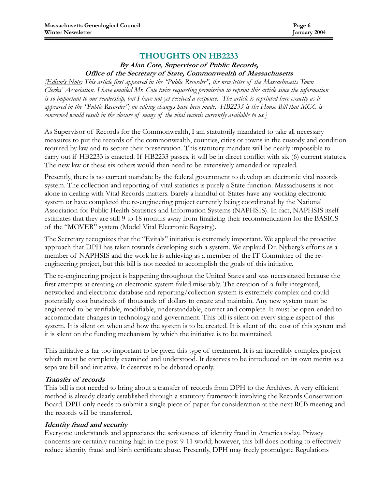#### THOUGHTS ON HB2233

#### By Alan Cote, Supervisor of Public Records, Office of the Secretary of State, Commonwealth of Massachusetts

**[Editor's Note:** This article first appeared in the 'Public Recorder'', the newsletter of the Massachusetts Town Clerks' Association. I have emailed Mr. Cote twice requesting permission to reprint this article since the information is so important to our readership, but I have not yet received a response. The article is reprinted here exactly as it appeared in the "Public Recorder"; no editing changes have been made. HB2233 is the House Bill that MGC is concerned would result in the closure of many of the vital records currently available to us.]

As Supervisor of Records for the Commonwealth, I am statutorily mandated to take all necessary measures to put the records of the commonwealth, counties, cities or towns in the custody and condition required by law and to secure their preservation. This statutory mandate will be nearly impossible to carry out if HB2233 is enacted. If HB2233 passes, it will be in direct conflict with six (6) current statutes. The new law or these six others would then need to be extensively amended or repealed.

Presently, there is no current mandate by the federal government to develop an electronic vital records system. The collection and reporting of vital statistics is purely a State function. Massachusetts is not alone in dealing with Vital Records matters. Barely a handful of States have any working electronic system or have completed the re-engineering project currently being coordinated by the National Association for Public Health Statistics and Information Systems (NAPHSIS). In fact, NAPHSIS itself estimates that they are still 9 to 18 months away from finalizing their recommendation for the BASICS of the "MOVER" system (Model Vital Electronic Registry).

The Secretary recognizes that the "Evitals" initiative is extremely important. We applaud the proactive approach that DPH has taken towards developing such a system. We applaud Dr. Nyberg's efforts as a member of NAPHSIS and the work he is achieving as a member of the IT Committee of the reengineering project, but this bill is not needed to accomplish the goals of this initiative.

The re-engineering project is happening throughout the United States and was necessitated because the first attempts at creating an electronic system failed miserably. The creation of a fully integrated, networked and electronic database and reporting/collection system is extremely complex and could potentially cost hundreds of thousands of dollars to create and maintain. Any new system must be engineered to be verifiable, modifiable, understandable, correct and complete. It must be open-ended to accommodate changes in technology and government. This bill is silent on every single aspect of this system. It is silent on when and how the system is to be created. It is silent of the cost of this system and it is silent on the funding mechanism by which the initiative is to be maintained.

This initiative is far too important to be given this type of treatment. It is an incredibly complex project which must be completely examined and understood. It deserves to be introduced on its own merits as a separate bill and initiative. It deserves to be debated openly.

#### Transfer of records

This bill is not needed to bring about a transfer of records from DPH to the Archives. A very efficient method is already clearly established through a statutory framework involving the Records Conservation Board. DPH only needs to submit a single piece of paper for consideration at the next RCB meeting and the records will be transferred.

#### Identity fraud and security

Everyone understands and appreciates the seriousness of identity fraud in America today. Privacy concerns are certainly running high in the post 9-11 world; however, this bill does nothing to effectively reduce identity fraud and birth certificate abuse. Presently, DPH may freely promulgate Regulations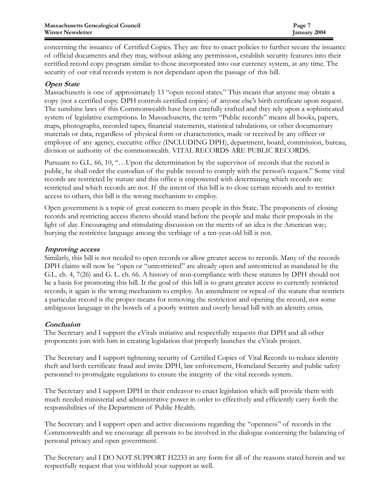concerning the issuance of Certified Copies. They are free to enact policies to further secure the issuance of official documents and they may, without asking any permission, establish security features into their certified record copy program similar to those incorporated into our currency system, at any time. The security of our vital records system is not dependant upon the passage of this bill.

#### Open State

Massachusetts is one of approximately 13 "open record states." This means that anyone may obtain a copy (not a certified copy. DPH controls certified copies) of anyone else's birth certificate upon request. The sunshine laws of this Commonwealth have been carefully crafted and they rely upon a sophisticated system of legislative exemptions. In Massachusetts, the term "Public records" means all books, papers, maps, photographs, recorded tapes, financial statements, statistical tabulations, or other documentary materials or data, regardless of physical form or characteristics, made or received by any officer or employee of any agency, executive office (INCLUDING DPH), department, board, commission, bureau, division or authority of the commonwealth. VITAL RECORDS ARE PUBLIC RECORDS.

Pursuant to G.L. 66, 10, "…Upon the determination by the supervisor of records that the record is public, he shall order the custodian of the public record to comply with the person's request." Some vital records are restricted by statute and this office is empowered with determining which records are restricted and which records are not. If the intent of this bill is to close certain records and to restrict access to others, this bill is the wrong mechanism to employ.

Open government is a topic of great concern to many people in this State. The proponents of closing records and restricting access thereto should stand before the people and make their proposals in the light of day. Encouraging and stimulating discussion on the merits of an idea is the American way; burying the restrictive language among the verbiage of a ten-year-old bill is not.

#### Improving access

Similarly, this bill is not needed to open records or allow greater access to records. Many of the records DPH claims will now be "open or "unrestricted" are already open and unrestricted as mandated by the G.L. ch. 4, 7(26) and G. L. ch. 66. A history of non-compliance with these statutes by DPH should not be a basis for promoting this bill. It the goal of this bill is to grant greater access to currently restricted records, it again is the wrong mechanism to employ. An amendment or repeal of the statute that restricts a particular record is the proper means for removing the restriction and opening the record, not some ambiguous language in the bowels of a poorly written and overly broad bill with an identity crisis.

#### **Conclusion**

The Secretary and I support the eVitals initiative and respectfully requests that DPH and all other proponents join with him in creating legislation that properly launches the eVitals project.

The Secretary and I support tightening security of Certified Copies of Vital Records to reduce identity theft and birth certificate fraud and invite DPH, law enforcement, Homeland Security and public safety personnel to promulgate regulations to ensure the integrity of the vital records system.

The Secretary and I support DPH in their endeavor to enact legislation which will provide them with much needed ministerial and administrative power in order to effectively and efficiently carry forth the responsibilities of the Department of Public Health.

The Secretary and I support open and active discussions regarding the "openness" of records in the Commonwealth and we encourage all persons to be involved in the dialogue concerning the balancing of personal privacy and open government.

The Secretary and I DO NOT SUPPORT H2233 in any form for all of the reasons stated herein and we respectfully request that you withhold your support as well.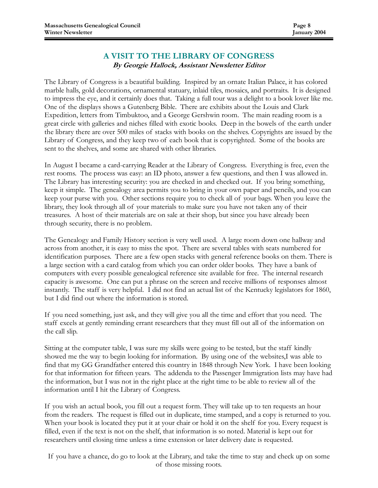#### A VISIT TO THE LIBRARY OF CONGRESS By Georgie Hallock, Assistant Newsletter Editor

The Library of Congress is a beautiful building. Inspired by an ornate Italian Palace, it has colored marble halls, gold decorations, ornamental statuary, inlaid tiles, mosaics, and portraits. It is designed to impress the eye, and it certainly does that. Taking a full tour was a delight to a book lover like me. One of the displays shows a Gutenberg Bible. There are exhibits about the Louis and Clark Expedition, letters from Timbuktoo, and a George Gershwin room. The main reading room is a great circle with galleries and niches filled with exotic books. Deep in the bowels of the earth under the library there are over 500 miles of stacks with books on the shelves. Copyrights are issued by the Library of Congress, and they keep two of each book that is copyrighted. Some of the books are sent to the shelves, and some are shared with other libraries.

In August I became a card-carrying Reader at the Library of Congress. Everything is free, even the rest rooms. The process was easy: an ID photo, answer a few questions, and then I was allowed in. The Library has interesting security: you are checked in and checked out. If you bring something, keep it simple. The genealogy area permits you to bring in your own paper and pencils, and you can keep your purse with you. Other sections require you to check all of your bags. When you leave the library, they look through all of your materials to make sure you have not taken any of their treasures. A host of their materials are on sale at their shop, but since you have already been through security, there is no problem.

The Genealogy and Family History section is very well used. A large room down one hallway and across from another, it is easy to miss the spot. There are several tables with seats numbered for identification purposes. There are a few open stacks with general reference books on them. There is a large section with a card catalog from which you can order older books. They have a bank of computers with every possible genealogical reference site available for free. The internal research capacity is awesome. One can put a phrase on the screen and receive millions of responses almost instantly. The staff is very helpful. I did not find an actual list of the Kentucky legislators for 1860, but I did find out where the information is stored.

If you need something, just ask, and they will give you all the time and effort that you need. The staff excels at gently reminding errant researchers that they must fill out all of the information on the call slip.

Sitting at the computer table, I was sure my skills were going to be tested, but the staff kindly showed me the way to begin looking for information. By using one of the websites,I was able to find that my GG Grandfather entered this country in 1848 through New York. I have been looking for that information for fifteen years. The addenda to the Passenger Immigration lists may have had the information, but I was not in the right place at the right time to be able to review all of the information until I hit the Library of Congress.

If you wish an actual book, you fill out a request form. They will take up to ten requests an hour from the readers. The request is filled out in duplicate, time stamped, and a copy is returned to you. When your book is located they put it at your chair or hold it on the shelf for you. Every request is filled, even if the text is not on the shelf, that information is so noted. Material is kept out for researchers until closing time unless a time extension or later delivery date is requested.

If you have a chance, do go to look at the Library, and take the time to stay and check up on some of those missing roots.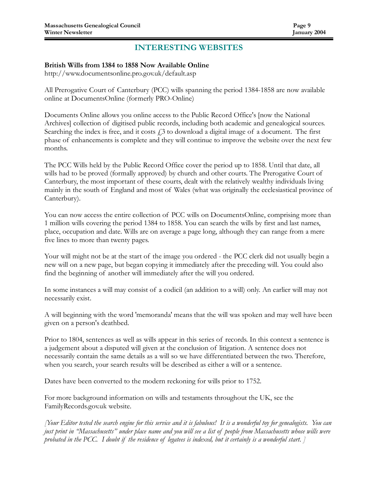#### INTERESTING WEBSITES

#### British Wills from 1384 to 1858 Now Available Online

http://www.documentsonline.pro.gov.uk/default.asp

All Prerogative Court of Canterbury (PCC) wills spanning the period 1384-1858 are now available online at DocumentsOnline (formerly PRO-Online)

Documents Online allows you online access to the Public Record Office's [now the National Archives] collection of digitised public records, including both academic and genealogical sources. Searching the index is free, and it costs  $f<sub>i</sub>$  to download a digital image of a document. The first phase of enhancements is complete and they will continue to improve the website over the next few months.

The PCC Wills held by the Public Record Office cover the period up to 1858. Until that date, all wills had to be proved (formally approved) by church and other courts. The Prerogative Court of Canterbury, the most important of these courts, dealt with the relatively wealthy individuals living mainly in the south of England and most of Wales (what was originally the ecclesiastical province of Canterbury).

You can now access the entire collection of PCC wills on DocumentsOnline, comprising more than 1 million wills covering the period 1384 to 1858. You can search the wills by first and last names, place, occupation and date. Wills are on average a page long, although they can range from a mere five lines to more than twenty pages.

Your will might not be at the start of the image you ordered - the PCC clerk did not usually begin a new will on a new page, but began copying it immediately after the preceding will. You could also find the beginning of another will immediately after the will you ordered.

In some instances a will may consist of a codicil (an addition to a will) only. An earlier will may not necessarily exist.

A will beginning with the word 'memoranda' means that the will was spoken and may well have been given on a person's deathbed.

Prior to 1804, sentences as well as wills appear in this series of records. In this context a sentence is a judgement about a disputed will given at the conclusion of litigation. A sentence does not necessarily contain the same details as a will so we have differentiated between the two. Therefore, when you search, your search results will be described as either a will or a sentence.

Dates have been converted to the modern reckoning for wills prior to 1752.

For more background information on wills and testaments throughout the UK, see the FamilyRecords.gov.uk website.

[Your Editor tested the search engine for this service and it is fabulous! It is a wonderful toy for genealogists. You can just print in "Massachusetts" under place name and you will see a list of people from Massachusetts whose wills were probated in the PCC. I doubt if the residence of legatees is indexed, but it certainly is a wonderful start. [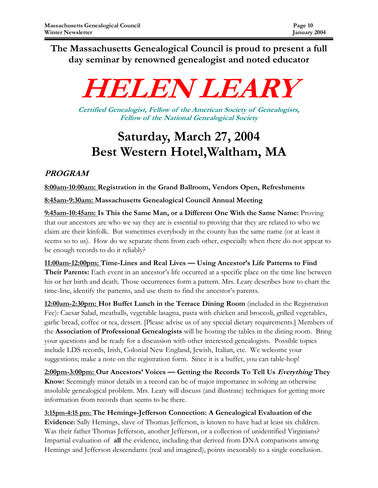The Massachusetts Genealogical Council is proud to present a full day seminar by renowned genealogist and noted educator



Certified Genealogist, Fellow of the American Society of Genealogists, Fellow of the National Genealogical Society

## Saturday, March 27, 2004 Best Western Hotel,Waltham, MA

### PROGRAM

8:00am-10:00am: Registration in the Grand Ballroom, Vendors Open, Refreshments

8:45am-9:30am: Massachusetts Genealogical Council Annual Meeting

9:45am-10:45am: Is This the Same Man, or a Different One With the Same Name: Proving that our ancestors are who we say they are is essential to proving that they are related to who we claim are their kinfolk. But sometimes everybody in the county has the same name (or at least it seems so to us). How do we separate them from each other, especially when there do not appear to be enough records to do it reliably?

11:00am-12:00pm: Time-Lines and Real Lives — Using Ancestor's Life Patterns to Find Their Parents: Each event in an ancestor's life occurred at a specific place on the time line between his or her birth and death. Those occurrences form a pattern. Mrs. Leary describes how to chart the time-line, identify the patterns, and use them to find the ancestor's parents.

12:00am-2:30pm: Hot Buffet Lunch in the Terrace Dining Room (included in the Registration Fee): Caesar Salad, meatballs, vegetable lasagna, pasta with chicken and broccoli, grilled vegetables, garlic bread, coffee or tea, dessert. [Please advise us of any special dietary requirements.] Members of the Association of Professional Genealogists will be hosting the tables in the dining room. Bring your questions and be ready for a discussion with other interested genealogists. Possible topics include LDS records, Irish, Colonial New England, Jewish, Italian, etc. We welcome your suggestions; make a note on the registration form. Since it is a buffet, you can table-hop!

2:00pm-3:00pm: Our Ancestors' Voices — Getting the Records To Tell Us Everything They Know: Seemingly minor details in a record can be of major importance in solving an otherwise insoluble genealogical problem. Mrs. Leary will discuss (and illustrate) techniques for getting more information from records than seems to be there.

3:15pm-4:15 pm: The Hemings-Jefferson Connection: A Genealogical Evaluation of the Evidence: Sally Hemings, slave of Thomas Jefferson, is known to have had at least six children. Was their father Thomas Jefferson, another Jefferson, or a collection of unidentified Virginians? Impartial evaluation of all the evidence, including that derived from DNA comparisons among Hemings and Jefferson descendants (real and imagined), points inexorably to a single conclusion.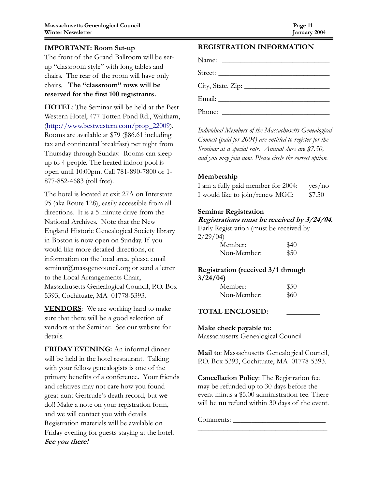The front of the Grand Ballroom will be setup "classroom style" with long tables and chairs. The rear of the room will have only chairs. The "classroom" rows will be reserved for the first 100 registrants.

HOTEL: The Seminar will be held at the Best Western Hotel, 477 Totten Pond Rd., Waltham, (http://www.bestwestern.com/prop\_22009). Rooms are available at \$79 (\$86.61 including tax and continental breakfast) per night from Thursday through Sunday. Rooms can sleep up to 4 people. The heated indoor pool is open until 10:00pm. Call 781-890-7800 or 1- 877-852-4683 (toll free).

The hotel is located at exit 27A on Interstate 95 (aka Route 128), easily accessible from all directions. It is a 5-minute drive from the National Archives. Note that the New England Historic Genealogical Society library in Boston is now open on Sunday. If you would like more detailed directions, or information on the local area, please email seminar@massgencouncil.org or send a letter to the Local Arrangements Chair, Massachusetts Genealogical Council, P.O. Box 5393, Cochituate, MA 01778-5393.

**VENDORS**: We are working hard to make sure that there will be a good selection of vendors at the Seminar. See our website for details.

FRIDAY EVENING: An informal dinner will be held in the hotel restaurant. Talking with your fellow genealogists is one of the primary benefits of a conference. Your friends and relatives may not care how you found great-aunt Gertrude's death record, but we do!! Make a note on your registration form, and we will contact you with details. Registration materials will be available on Friday evening for guests staying at the hotel. See you there!

#### REGISTRATION INFORMATION

| $City, State, Zip: \_$ |                                              |  |  |
|------------------------|----------------------------------------------|--|--|
|                        |                                              |  |  |
| Phone:                 | <u> 1989 - Andrea Andrew Maria (b. 1989)</u> |  |  |

Individual Members of the Massachusetts Genealogical Council (paid for 2004) are entitled to register for the Seminar at a special rate. Annual dues are \$7.50, and you may join now. Please circle the correct option.

#### Membership

| I am a fully paid member for 2004: | yes/no |
|------------------------------------|--------|
| I would like to join/renew MGC:    | \$7.50 |

#### Seminar Registration

#### Registrations must be received by 3/24/04.

Early Registration (must be received by

| 2/29/04 |  |
|---------|--|
| Member: |  |

| Member:     | \$40 |
|-------------|------|
| Non-Member: | \$50 |

#### Registration (received 3/1 through 3/24/04)

| Member:     | \$50 |
|-------------|------|
| Non-Member: | \$60 |

#### TOTAL ENCLOSED: \_\_\_\_\_\_\_\_\_

#### Make check payable to:

Massachusetts Genealogical Council

Mail to: Massachusetts Genealogical Council, P.O. Box 5393, Cochituate, MA 01778-5393.

Cancellation Policy: The Registration fee may be refunded up to 30 days before the event minus a \$5.00 administration fee. There will be **no** refund within 30 days of the event.

\_\_\_\_\_\_\_\_\_\_\_\_\_\_\_\_\_\_\_\_\_\_\_\_\_\_\_\_\_\_\_\_\_\_\_

Comments: \_\_\_\_\_\_\_\_\_\_\_\_\_\_\_\_\_\_\_\_\_\_\_\_\_